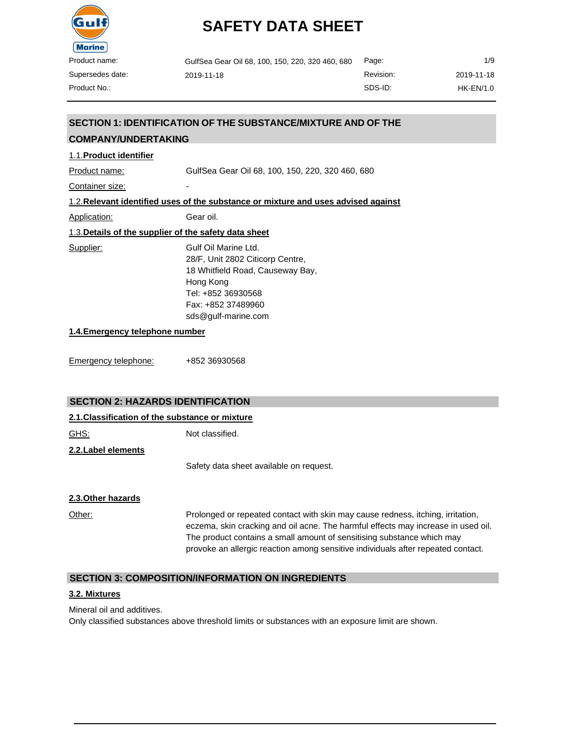

| GulfSea Gear Oil 68, 100, 150, 220, 320 460, 680 | Page:     | 1/9        |
|--------------------------------------------------|-----------|------------|
| 2019-11-18                                       | Revision: | 2019-11-18 |
|                                                  | SDS-ID:   | HK-EN/1.0  |

## **SECTION 1: IDENTIFICATION OF THE SUBSTANCE/MIXTURE AND OF THE**

## **COMPANY/UNDERTAKING**

#### 1.1.**Product identifier**

Product name: GulfSea Gear Oil 68, 100, 150, 220, 320 460, 680

Container size: The container size:

#### 1.2.**Relevant identified uses of the substance or mixture and uses advised against**

Application: Gear oil.

## 1.3.**Details of the supplier of the safety data sheet**

Supplier: Gulf Oil Marine Ltd. 28/F, Unit 2802 Citicorp Centre, 18 Whitfield Road, Causeway Bay, Hong Kong Tel: +852 36930568 Fax: +852 37489960 [sds@gulf-marine.com](mailto:sds@gulf-marine.com)

#### **1.4.Emergency telephone number**

Emergency telephone: +852 36930568

#### **SECTION 2: HAZARDS IDENTIFICATION**

| 2.1. Classification of the substance or mixture |                                                                                                                                                                                                                                                                                                                                    |  |  |
|-------------------------------------------------|------------------------------------------------------------------------------------------------------------------------------------------------------------------------------------------------------------------------------------------------------------------------------------------------------------------------------------|--|--|
| <u>GHS:</u>                                     | Not classified.                                                                                                                                                                                                                                                                                                                    |  |  |
| 2.2. Label elements                             |                                                                                                                                                                                                                                                                                                                                    |  |  |
|                                                 | Safety data sheet available on request.                                                                                                                                                                                                                                                                                            |  |  |
| 2.3. Other hazards                              |                                                                                                                                                                                                                                                                                                                                    |  |  |
| Other:                                          | Prolonged or repeated contact with skin may cause redness, itching, irritation,<br>eczema, skin cracking and oil acne. The harmful effects may increase in used oil.<br>The product contains a small amount of sensitising substance which may<br>provoke an allergic reaction among sensitive individuals after repeated contact. |  |  |

#### **SECTION 3: COMPOSITION/INFORMATION ON INGREDIENTS**

#### **3.2. Mixtures**

Mineral oil and additives.

Only classified substances above threshold limits or substances with an exposure limit are shown.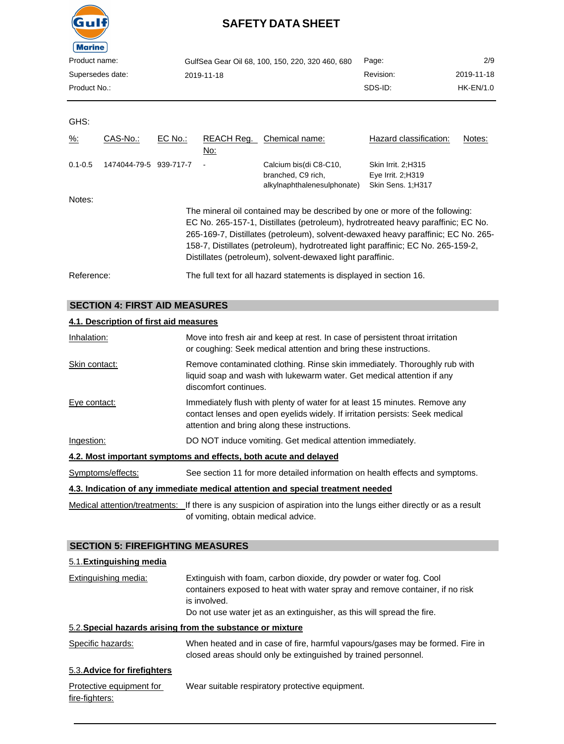

| Product name:    | GulfSea Gear Oil 68, 100, 150, 220, 320 460, 680 | Page:     | 2/9         |
|------------------|--------------------------------------------------|-----------|-------------|
| Supersedes date: | 2019-11-18                                       | Revision: | 2019-11-18  |
| Product No.:     |                                                  | SDS-ID:   | $HK-EN/1.0$ |
|                  |                                                  |           |             |

#### GHS:

| $\frac{9}{6}$ : | CAS-No.:     | EC No.:   | REACH Req.<br>No: | Chemical name:                                                                                                                                                                                                                                                                                                                                                                                         | Hazard classification:                                        | Notes: |
|-----------------|--------------|-----------|-------------------|--------------------------------------------------------------------------------------------------------------------------------------------------------------------------------------------------------------------------------------------------------------------------------------------------------------------------------------------------------------------------------------------------------|---------------------------------------------------------------|--------|
| $0.1 - 0.5$     | 1474044-79-5 | 939-717-7 |                   | Calcium bis(di C8-C10,<br>branched, C9 rich,<br>alkylnaphthalenesulphonate)                                                                                                                                                                                                                                                                                                                            | Skin Irrit. 2:H315<br>Eye Irrit. 2; H319<br>Skin Sens. 1;H317 |        |
| Notes:          |              |           |                   | The mineral oil contained may be described by one or more of the following:<br>EC No. 265-157-1, Distillates (petroleum), hydrotreated heavy paraffinic; EC No.<br>265-169-7, Distillates (petroleum), solvent-dewaxed heavy paraffinic; EC No. 265-<br>158-7, Distillates (petroleum), hydrotreated light paraffinic; EC No. 265-159-2,<br>Distillates (petroleum), solvent-dewaxed light paraffinic. |                                                               |        |
| Reference:      |              |           |                   | The full text for all hazard statements is displayed in section 16.                                                                                                                                                                                                                                                                                                                                    |                                                               |        |

## **SECTION 4: FIRST AID MEASURES**

## **4.1. Description of first aid measures**

| Inhalation:       | Move into fresh air and keep at rest. In case of persistent throat irritation<br>or coughing: Seek medical attention and bring these instructions.                                                          |
|-------------------|-------------------------------------------------------------------------------------------------------------------------------------------------------------------------------------------------------------|
| Skin contact:     | Remove contaminated clothing. Rinse skin immediately. Thoroughly rub with<br>liquid soap and wash with lukewarm water. Get medical attention if any<br>discomfort continues.                                |
| Eye contact:      | Immediately flush with plenty of water for at least 15 minutes. Remove any<br>contact lenses and open eyelids widely. If irritation persists: Seek medical<br>attention and bring along these instructions. |
| Ingestion:        | DO NOT induce vomiting. Get medical attention immediately.                                                                                                                                                  |
|                   | 4.2. Most important symptoms and effects, both acute and delayed                                                                                                                                            |
| Symptoms/effects: | See section 11 for more detailed information on health effects and symptoms.                                                                                                                                |
|                   | 4.3. Indication of any immediate medical attention and special treatment needed                                                                                                                             |
|                   | Medical attention/treatments: If there is any suspicion of aspiration into the lungs either directly or as a result                                                                                         |

Medical attention/treatments: If there is any suspicion of aspiration into the lungs either directly or as a result of vomiting, obtain medical advice.

## **SECTION 5: FIREFIGHTING MEASURES**

| 5.1. Extinguishing media                   |                                                                                                                                                                                                                                               |
|--------------------------------------------|-----------------------------------------------------------------------------------------------------------------------------------------------------------------------------------------------------------------------------------------------|
| Extinguishing media:                       | Extinguish with foam, carbon dioxide, dry powder or water fog. Cool<br>containers exposed to heat with water spray and remove container, if no risk<br>is involved.<br>Do not use water jet as an extinguisher, as this will spread the fire. |
|                                            | 5.2. Special hazards arising from the substance or mixture                                                                                                                                                                                    |
| Specific hazards:                          | When heated and in case of fire, harmful vapours/gases may be formed. Fire in<br>closed areas should only be extinguished by trained personnel.                                                                                               |
| 5.3. Advice for firefighters               |                                                                                                                                                                                                                                               |
| Protective equipment for<br>fire-fighters: | Wear suitable respiratory protective equipment.                                                                                                                                                                                               |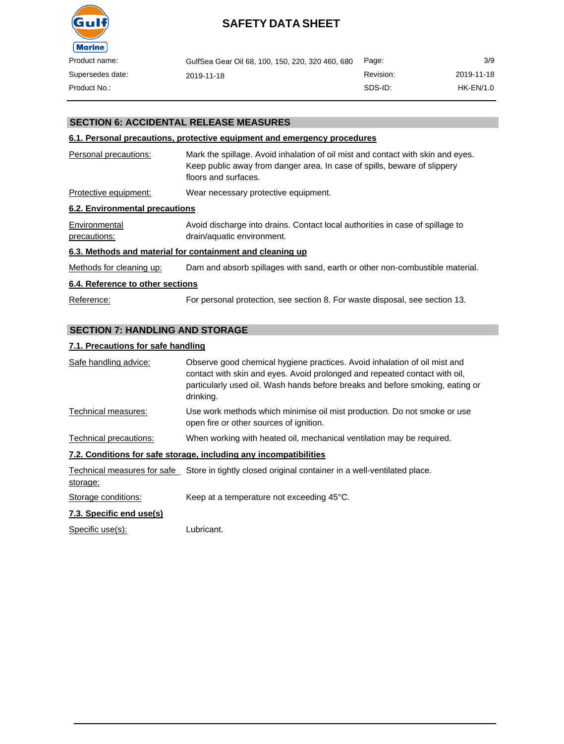

| name:     | GulfSea Gear Oil 68, 100, 150, 220, 320 460, 680 | Page:     | 3/9        |
|-----------|--------------------------------------------------|-----------|------------|
| des date: | 2019-11-18                                       | Revision: | 2019-11-18 |
| No.:      |                                                  | SDS-ID:   | HK-EN/1.0  |

### **SECTION 6: ACCIDENTAL RELEASE MEASURES**

#### **6.1. Personal precautions, protective equipment and emergency procedures**

| Personal precautions:          | Mark the spillage. Avoid inhalation of oil mist and contact with skin and eyes.<br>Keep public away from danger area. In case of spills, beware of slippery<br>floors and surfaces. |
|--------------------------------|-------------------------------------------------------------------------------------------------------------------------------------------------------------------------------------|
| Protective equipment:          | Wear necessary protective equipment.                                                                                                                                                |
| 6.2. Environmental precautions |                                                                                                                                                                                     |
| Environmental<br>precautions:  | Avoid discharge into drains. Contact local authorities in case of spillage to<br>drain/aquatic environment.                                                                         |

#### **6.3. Methods and material for containment and cleaning up**

Methods for cleaning up: Dam and absorb spillages with sand, earth or other non-combustible material.

#### **6.4. Reference to other sections**

Reference: For personal protection, see section 8. For waste disposal, see section 13.

### **SECTION 7: HANDLING AND STORAGE**

#### **7.1. Precautions for safe handling**

| Safe handling advice:     | Observe good chemical hygiene practices. Avoid inhalation of oil mist and<br>contact with skin and eyes. Avoid prolonged and repeated contact with oil,<br>particularly used oil. Wash hands before breaks and before smoking, eating or<br>drinking. |
|---------------------------|-------------------------------------------------------------------------------------------------------------------------------------------------------------------------------------------------------------------------------------------------------|
| Technical measures:       | Use work methods which minimise oil mist production. Do not smoke or use<br>open fire or other sources of ignition.                                                                                                                                   |
| Technical precautions:    | When working with heated oil, mechanical ventilation may be required.                                                                                                                                                                                 |
|                           | 7.2. Conditions for safe storage, including any incompatibilities                                                                                                                                                                                     |
| storage:                  | Technical measures for safe Store in tightly closed original container in a well-ventilated place.                                                                                                                                                    |
| Storage conditions:       | Keep at a temperature not exceeding 45°C.                                                                                                                                                                                                             |
| $7.2$ Creation and useful |                                                                                                                                                                                                                                                       |

#### **7.3. Specific end use(s)**

Specific use(s): Lubricant.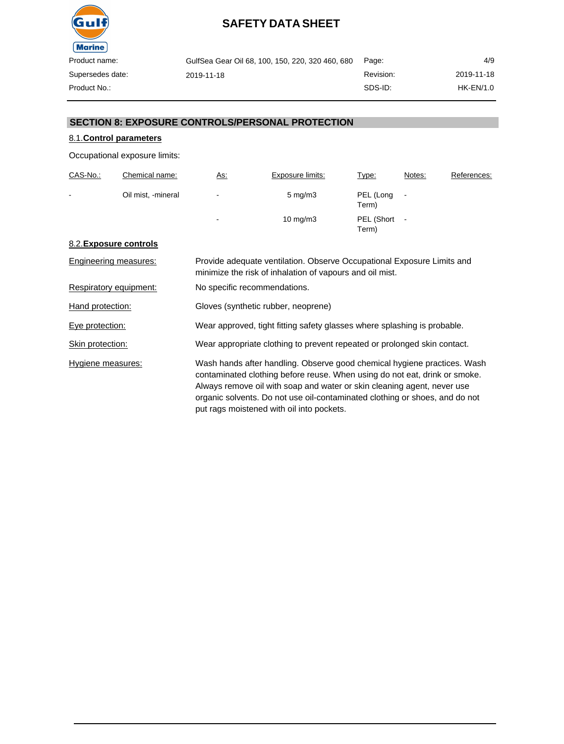

| GulfSea Gear Oil 68, 100, 150, 220, 320 460, 680 | Page:     | 4/9              |
|--------------------------------------------------|-----------|------------------|
| 2019-11-18                                       | Revision: | 2019-11-18       |
|                                                  | SDS-ID:   | <b>HK-EN/1.0</b> |

### **SECTION 8: EXPOSURE CONTROLS/PERSONAL PROTECTION**

## 8.1.**Control parameters**

Occupational exposure limits:

| CAS-No.:       | Chemical name:     | <u>As:</u>     | Exposure limits:   | Type:               | Notes:                   | References: |
|----------------|--------------------|----------------|--------------------|---------------------|--------------------------|-------------|
| $\blacksquare$ | Oil mist, -mineral | $\blacksquare$ | $5 \text{ mg/m}$ 3 | PEL (Long<br>Term)  | $\overline{\phantom{a}}$ |             |
|                |                    | $\blacksquare$ | $10 \text{ mg/m}$  | PEL (Short<br>Term) |                          |             |

#### 8.2.**Exposure controls**

| Engineering measures:  | Provide adequate ventilation. Observe Occupational Exposure Limits and<br>minimize the risk of inhalation of vapours and oil mist.                                                                                                                                                                                                                            |
|------------------------|---------------------------------------------------------------------------------------------------------------------------------------------------------------------------------------------------------------------------------------------------------------------------------------------------------------------------------------------------------------|
| Respiratory equipment: | No specific recommendations.                                                                                                                                                                                                                                                                                                                                  |
| Hand protection:       | Gloves (synthetic rubber, neoprene)                                                                                                                                                                                                                                                                                                                           |
| Eye protection:        | Wear approved, tight fitting safety glasses where splashing is probable.                                                                                                                                                                                                                                                                                      |
| Skin protection:       | Wear appropriate clothing to prevent repeated or prolonged skin contact.                                                                                                                                                                                                                                                                                      |
| Hygiene measures:      | Wash hands after handling. Observe good chemical hygiene practices. Wash<br>contaminated clothing before reuse. When using do not eat, drink or smoke.<br>Always remove oil with soap and water or skin cleaning agent, never use<br>organic solvents. Do not use oil-contaminated clothing or shoes, and do not<br>put rags moistened with oil into pockets. |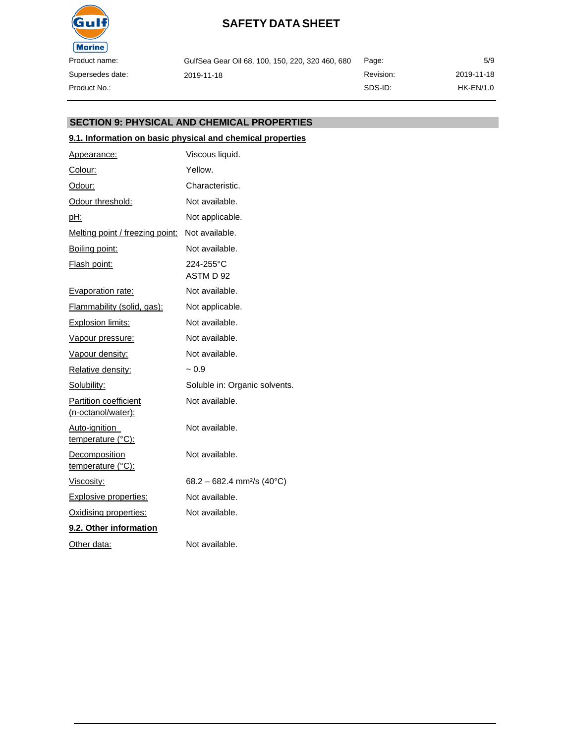

| GulfSea Gear Oil 68, 100, 150, 220, 320 460, 680 | Page:     | 5/9         |
|--------------------------------------------------|-----------|-------------|
| 2019-11-18                                       | Revision: | 2019-11-18  |
|                                                  | SDS-ID:   | $HK-EN/1.0$ |

### **SECTION 9: PHYSICAL AND CHEMICAL PROPERTIES**

### **9.1. Information on basic physical and chemical properties**

| Appearance:                                        | Viscous liquid.                        |
|----------------------------------------------------|----------------------------------------|
| Colour:                                            | Yellow.                                |
| Odour:                                             | Characteristic.                        |
| Odour threshold:                                   | Not available.                         |
| pH:                                                | Not applicable.                        |
| Melting point / freezing point:                    | Not available.                         |
| Boiling point:                                     | Not available.                         |
| Flash point:                                       | 224-255°C<br>ASTM D 92                 |
| Evaporation rate:                                  | Not available.                         |
| Flammability (solid, gas):                         | Not applicable.                        |
| <b>Explosion limits:</b>                           | Not available.                         |
| <u>Vapour pressure:</u>                            | Not available.                         |
| Vapour density:                                    | Not available.                         |
| Relative density:                                  | $~1$ 0.9                               |
| Solubility:                                        | Soluble in: Organic solvents.          |
| <b>Partition coefficient</b><br>(n-octanol/water): | Not available.                         |
| Auto-ignition<br>temperature (°C):                 | Not available.                         |
| Decomposition<br>temperature (°C):                 | Not available.                         |
| Viscosity:                                         | 68.2 - 682.4 mm <sup>2</sup> /s (40°C) |
| Explosive properties:                              | Not available.                         |
| Oxidising properties:                              | Not available.                         |
| 9.2. Other information                             |                                        |
| <u>Other data:</u>                                 | Not available.                         |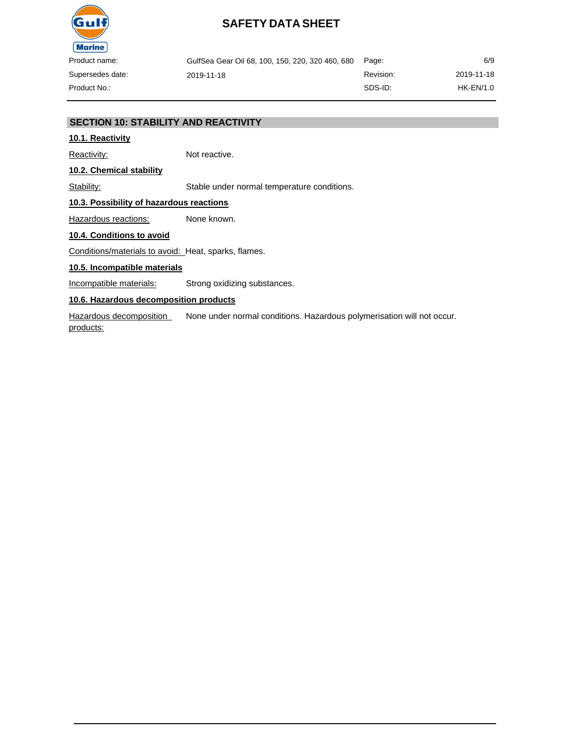

| GulfSea Gear Oil 68, 100, 150, 220, 320 460, 680 Page: |           | 6/9         |
|--------------------------------------------------------|-----------|-------------|
| 2019-11-18                                             | Revision: | 2019-11-18  |
|                                                        | SDS-ID:   | $HK-EN/1.0$ |

### **SECTION 10: STABILITY AND REACTIVITY**

### **10.1. Reactivity**

Reactivity: Not reactive.

**10.2. Chemical stability**

Stability: Stable under normal temperature conditions.

## **10.3. Possibility of hazardous reactions**

Hazardous reactions: None known.

#### **10.4. Conditions to avoid**

Conditions/materials to avoid: Heat, sparks, flames.

#### **10.5. Incompatible materials**

Incompatible materials: Strong oxidizing substances.

### **10.6. Hazardous decomposition products**

Hazardous decomposition products: None under normal conditions. Hazardous polymerisation will not occur.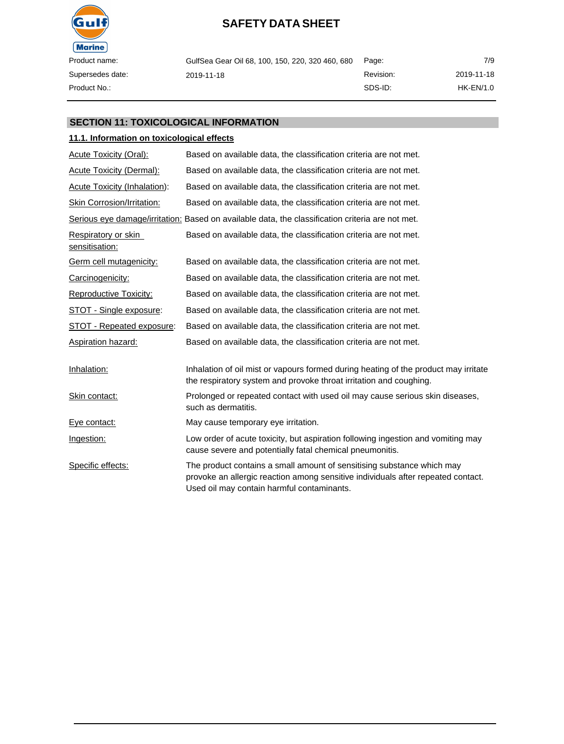

| GulfSea Gear Oil 68, 100, 150, 220, 320 460, 680 | Page:     | 7/9         |
|--------------------------------------------------|-----------|-------------|
| 2019-11-18                                       | Revision: | 2019-11-18  |
|                                                  | SDS-ID:   | $HK-EN/1.0$ |

#### **SECTION 11: TOXICOLOGICAL INFORMATION**

#### **11.1. Information on toxicological effects**

| Acute Toxicity (Oral):                | Based on available data, the classification criteria are not met.                                                                                                                                        |
|---------------------------------------|----------------------------------------------------------------------------------------------------------------------------------------------------------------------------------------------------------|
| <b>Acute Toxicity (Dermal):</b>       | Based on available data, the classification criteria are not met.                                                                                                                                        |
| <b>Acute Toxicity (Inhalation):</b>   | Based on available data, the classification criteria are not met.                                                                                                                                        |
| Skin Corrosion/Irritation:            | Based on available data, the classification criteria are not met.                                                                                                                                        |
|                                       | Serious eye damage/irritation: Based on available data, the classification criteria are not met.                                                                                                         |
| Respiratory or skin<br>sensitisation: | Based on available data, the classification criteria are not met.                                                                                                                                        |
| Germ cell mutagenicity:               | Based on available data, the classification criteria are not met.                                                                                                                                        |
| Carcinogenicity:                      | Based on available data, the classification criteria are not met.                                                                                                                                        |
| Reproductive Toxicity:                | Based on available data, the classification criteria are not met.                                                                                                                                        |
| STOT - Single exposure:               | Based on available data, the classification criteria are not met.                                                                                                                                        |
| STOT - Repeated exposure:             | Based on available data, the classification criteria are not met.                                                                                                                                        |
| <b>Aspiration hazard:</b>             | Based on available data, the classification criteria are not met.                                                                                                                                        |
| Inhalation:                           | Inhalation of oil mist or vapours formed during heating of the product may irritate<br>the respiratory system and provoke throat irritation and coughing.                                                |
| Skin contact:                         | Prolonged or repeated contact with used oil may cause serious skin diseases,<br>such as dermatitis.                                                                                                      |
| Eye contact:                          | May cause temporary eye irritation.                                                                                                                                                                      |
| Ingestion:                            | Low order of acute toxicity, but aspiration following ingestion and vomiting may<br>cause severe and potentially fatal chemical pneumonitis.                                                             |
| Specific effects:                     | The product contains a small amount of sensitising substance which may<br>provoke an allergic reaction among sensitive individuals after repeated contact.<br>Used oil may contain harmful contaminants. |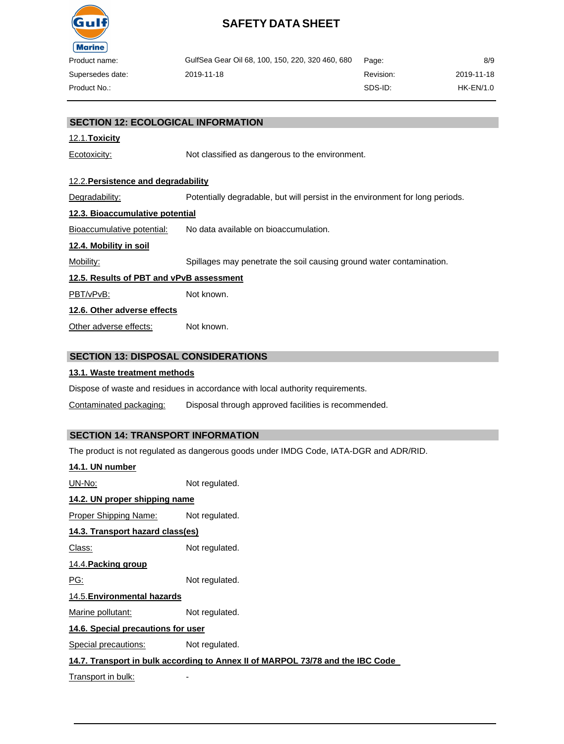

| oduct name:    | GulfSea Gear Oil 68, 100, 150, 220, 320 460, 680 | Page:     | 8/9        |
|----------------|--------------------------------------------------|-----------|------------|
| persedes date: | 2019-11-18                                       | Revision: | 2019-11-18 |
| oduct No∴      |                                                  | SDS-ID:   | HK-EN/1.0  |

### **SECTION 12: ECOLOGICAL INFORMATION**

#### 12.1.**Toxicity**

Ecotoxicity: Not classified as dangerous to the environment.

#### 12.2.**Persistence and degradability**

Degradability: Potentially degradable, but will persist in the environment for long periods.

#### **12.3. Bioaccumulative potential**

Bioaccumulative potential: No data available on bioaccumulation.

#### **12.4. Mobility in soil**

Mobility: Spillages may penetrate the soil causing ground water contamination.

#### **12.5. Results of PBT and vPvB assessment**

PBT/vPvB: Not known.

#### **12.6. Other adverse effects**

Other adverse effects: Not known.

#### **SECTION 13: DISPOSAL CONSIDERATIONS**

#### **13.1. Waste treatment methods**

Dispose of waste and residues in accordance with local authority requirements.

Contaminated packaging: Disposal through approved facilities is recommended.

### **SECTION 14: TRANSPORT INFORMATION**

The product is not regulated as dangerous goods under IMDG Code, IATA-DGR and ADR/RID.

#### **14.1. UN number**

UN-No: Not regulated.

## **14.2. UN proper shipping name**

Proper Shipping Name: Not regulated.

### **14.3. Transport hazard class(es)**

Class: Not regulated.

### 14.4.**Packing group**

PG: Not regulated.

#### 14.5.**Environmental hazards**

Marine pollutant: Not regulated.

#### **14.6. Special precautions for user**

Special precautions: Not regulated.

#### **14.7. Transport in bulk according to Annex II of MARPOL 73/78 and the IBC Code**

Transport in bulk: